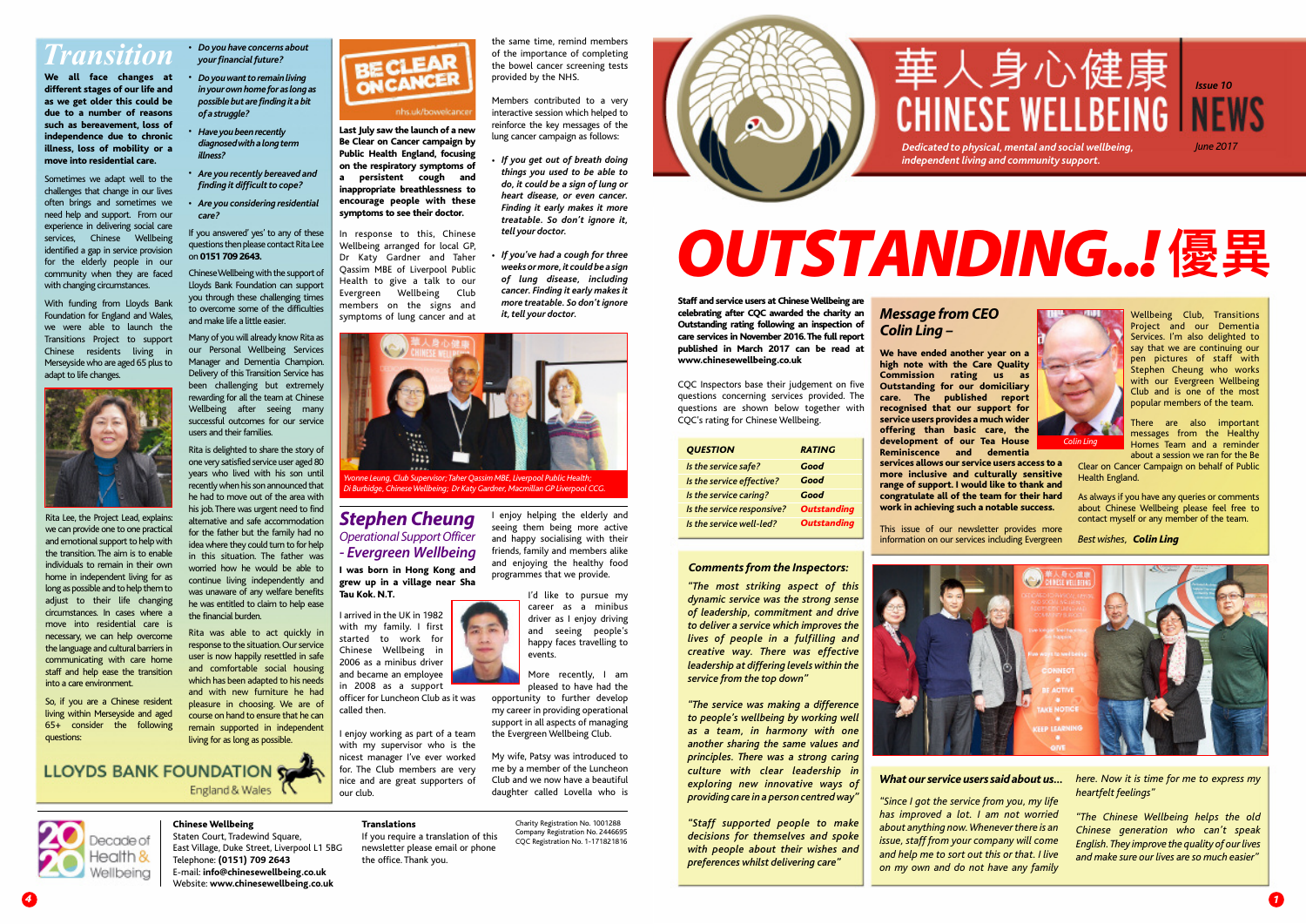*4*

#### **Chinese Wellbeing** Staten Court, Tradewind Square,

East Village, Duke Street, Liverpool L1 5BG Telephone: **(0151) 709 2643** E-mail: **info@chinesewellbeing.co.uk** Website: **www.chinesewellbeing.co.uk**



#### nhs.uk/bowelcance

**Translations** If you require a translation of this newsletter please email or phone

the office. Thank you.

Charity Registration No. 1001288 Company Registration No. 2446695 CQC Registration No. 1-171821816



### *Transition*

With funding from Lloyds Bank Foundation for England and Wales, we were able to launch the Transitions Project to support Chinese residents living in Merseyside who are aged 65 plus to adapt to life changes.



**We all face changes at different stages of our life and as we get older this could be due to a number of reasons such as bereavement, loss of independence due to chronic illness, loss of mobility or a move into residential care.**

Sometimes we adapt well to the challenges that change in our lives often brings and sometimes we need help and support. From our experience in delivering social care services, Chinese Wellbeing identified a gap in service provision for the elderly people in our community when they are faced with changing circumstances.

**Last July saw the launch of a new Be Clear on Cancer campaign by Public Health England, focusing on the respiratory symptoms of a persistent cough and inappropriate breathlessness to encourage people with these symptoms to see their doctor.**

In response to this, Chinese Wellbeing arranged for local GP, Dr Katy Gardner and Taher Qassim MBE of Liverpool Public Health to give a talk to our Evergreen Wellbeing Club members on the signs and symptoms of lung cancer and at

**Staff and service users at ChineseWellbeing are celebrating after CQC awarded the charity an Outstanding rating following an inspection of care services in November 2016.The full report published in March 2017 can be read at www.chinesewellbeing.co.uk**

CQC Inspectors base their judgement on five questions concerning services provided. The questions are shown below together with CQC's rating for Chinese Wellbeing.

#### *What ourservice userssaid about us…*

#### *Message from CEO Colin Ling –*

**We have ended another year on a high note with the Care Quality Commission rating us as Outstanding for our domiciliary care. The published report recognised that our support for service users provides a much wider offering than basic care, the development of our Tea House Reminiscence and dementia services allows our service users access to a more inclusive and culturally sensitive range of support. I would like to thank and congratulate all of the team for their hard work in achieving such a notable success.**

This issue of our newsletter provides more information on our services including Evergreen



Wellbeing Club, Transitions Project and our Dementia Services. I'm also delighted to say that we are continuing our pen pictures of staff with Stephen Cheung who works with our Evergreen Wellbeing Club and is one of the most popular members of the team.

There are also important messages from the Healthy Homes Team and a reminder about a session we ran for the Be

Clear on Cancer Campaign on behalf of Public Health England.

As always if you have any queries or comments about Chinese Wellbeing please feel free to contact myself or any member of the team.

#### *Bestwishes, Colin Ling*





*Yvonne Leung,Club Supervisor;Taher Qassim MBE,Liverpool PublicHealth; Di Burbidge,ChineseWellbeing; Dr KatyGardner,MacmillanGP Liverpool CCG.*

## *OUTSTANDING..!* **優異**

Rita Lee, the Project Lead, explains: we can provide one to one practical and emotional support to help with the transition. The aim is to enable individuals to remain in their own home in independent living for as long as possible and to help them to adjust to their life changing circumstances. In cases where a move into residential care is necessary, we can help overcome the language and cultural barriers in communicating with care home staff and help ease the transition into a care environment.

Chinese Wellbeing with the support of Lloyds Bank Foundation can support you through these challenging times to overcome some of the difficulties and make life a little easier.

So, if you are a Chinese resident living within Merseyside and aged 65+ consider the following questions:

the same time, remind members of the importance of completing the bowel cancer screening tests

provided by the NHS.

Members contributed to a very interactive session which helped to reinforce the key messages of the lung cancer campaign as follows:

*If you get out of breath doing things you used to be able to do, it could be a sign of lung or heart disease, or even cancer. Finding it early makes it more treatable. So don't ignore it,* *Dedicated to physical, mental and social wellbeing, June 2017 independent living and community support.* 

*tell your doctor.*

*If you've had a cough for three weeksormore,it couldbe a sign of lung disease, including cancer. Finding it early makesit more treatable. So don'tignore*

**I was born in Hong Kong and grew up in a village near Sha Tau Kok. N.T.**

I arrived in the UK in 1982 with my family. I first started to work for Chinese Wellbeing in 2006 as a minibus driver and became an employee in 2008 as a support officer for Luncheon Club as it was called then.

I enjoy working as part of a team with my supervisor who is the nicest manager I've ever worked for. The Club members are very nice and are great supporters of our club.

I enjoy helping the elderly and seeing them being more active and happy socialising with their friends, family and members alike and enjoying the healthy food programmes that we provide.

> I'd like to pursue my events.

# 華人身心健康

career as a minibus driver as I enjoy driving and seeing people's happy faces travelling to

More recently, I am pleased to have had the opportunity to further develop my career in providing operational support in all aspects of managing the Evergreen Wellbeing Club.

My wife, Patsy was introduced to me by a member of the Luncheon Club and we now have a beautiful daughter called Lovella who is *"The most striking aspect of this dynamic service was the strong sense of leadership, commitment and drive to deliver a service which improves the lives of people in a fulfilling and creative way. There was effective leadership at differing levelswithin the service from the top down"*

*"The service was making a difference to people's wellbeing by working well as a team, in harmony with one another sharing the same values and principles. There was a strong caring culture with clear leadership in exploring new innovative ways of providing care in a person centredway"*

*"Staff supported people to make decisions for themselves and spoke with people about their wishes and preferences whilst delivering care"*

*"Since I got the service from you, my life has improved a lot. I am not worried about anything now.Wheneverthere is an issue, staff from your company will come and help me to sort out this or that. I live on my own and do not have any family*

*here. Now it is time for me to express my heartfelt feelings"*

*"The Chinese Wellbeing helps the old Chinese generation who can't speak English.They improve the quality of ourlives and make sure our lives are so much easier"*

| <b>OUESTION</b>            | <b>RATING</b>      |
|----------------------------|--------------------|
| Is the service safe?       | Good               |
| Is the service effective?  | Good               |
| Is the service caring?     | Good               |
| Is the service responsive? | <b>Outstanding</b> |
| Is the service well-led?   | <b>Outstanding</b> |

#### *Commentsfrom the Inspectors:*

*•*

*•*

 $it.$  *tell* vour *doctor.* 

- *Do you have concerns about • yourfinancialfuture?*
- Doyou want to remain living *inyourownhomeforaslongas possiblebutarefindingitabit ofastruggle?*
- *Haveyoubeenrecently • diagnosedwithalongterm illness?*
- *Are you recently bereaved and • finding it difficult to cope?*
- *Are you considering residential • care?*

If you answered' yes' to any of these questions then please contact Rita Lee on **0151 709 2643.**

Many of you will already know Rita as our Personal Wellbeing Services Manager and Dementia Champion. Delivery of this Transition Service has been challenging but extremely rewarding for all the team at Chinese Wellbeing after seeing many successful outcomes for our service users and their families.

Rita is delighted to share the story of one very satisfied service user aged 80 years who lived with his son until recently when his son announced that he had to move out of the area with his job.There was urgent need to find alternative and safe accommodation for the father but the family had no idea where they could turn to for help in this situation. The father was worried how he would be able to continue living independently and was unaware of any welfare benefits he was entitled to claim to help ease the financial burden.

Rita was able to act quickly in response to the situation. Our service user is now happily resettled in safe and comfortable social housing which has been adapted to his needs and with new furniture he had pleasure in choosing. We are of course on hand to ensure that he can remain supported in independent living for as long as possible.

**LLOYDS BANK FOUNDATION SOLUTION** England & Wales



#### *Stephen Cheung* **Operational Support Officer** *- Evergreen Wellbeing*

*Issue 10*